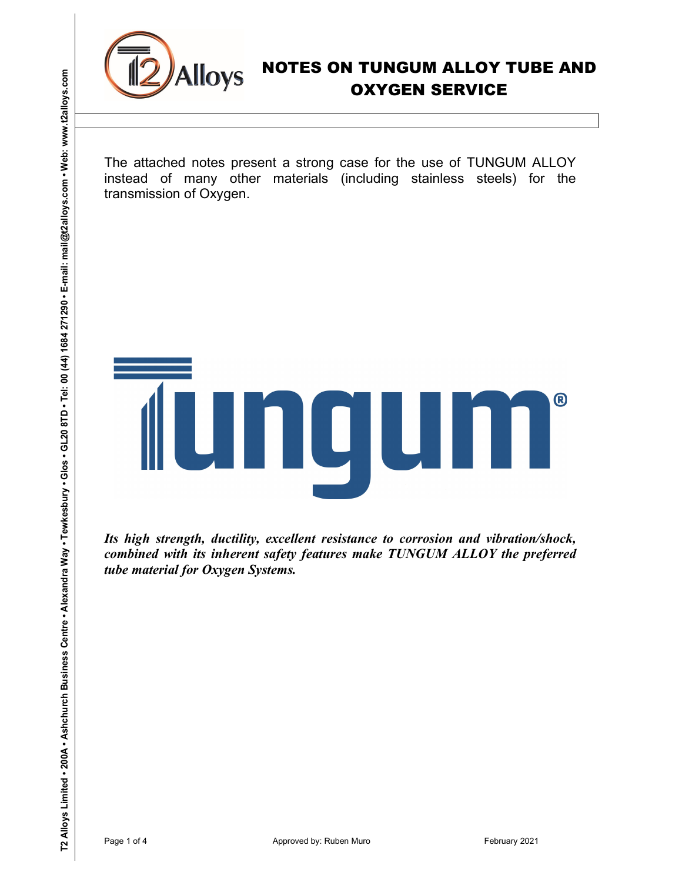

The attached notes present a strong case for the use of TUNGUM ALLOY instead of many other materials (including stainless steels) for the transmission of Oxygen.

# The attached notes present a strong case for the use of TUNGUM ALLOY<br>The attached notes present a strong case for the use of TUNGUM ALLOY<br>transmission of Oxygener materials (including statiotes steels) for the<br>transmission

Its high strength, ductility, excellent resistance to corrosion and vibration/shock, combined with its inherent safety features make TUNGUM ALLOY the preferred tube material for Oxygen Systems.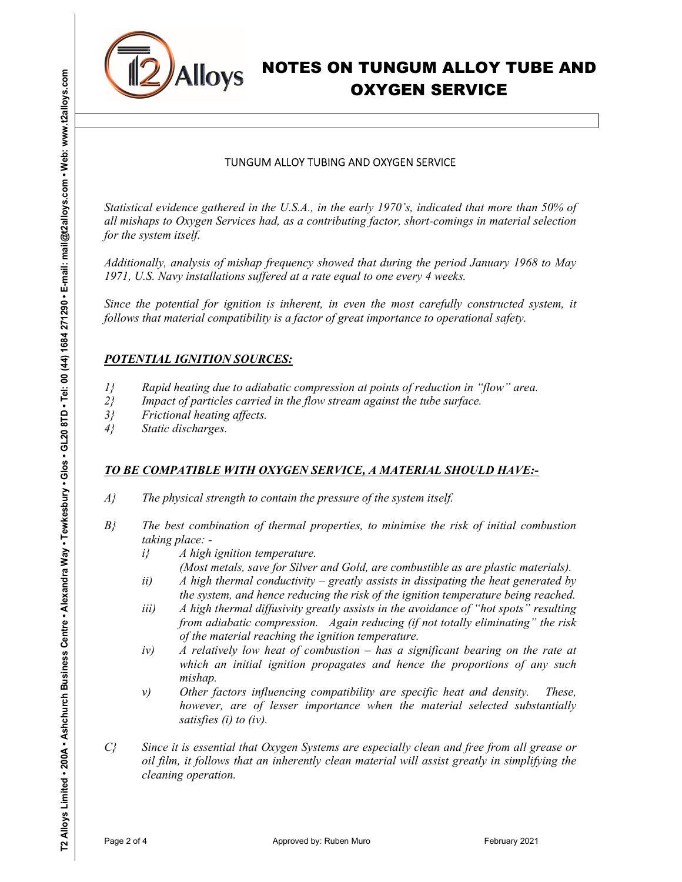

# OXYGEN SERVICE

### TUNGUM ALLOY TUBING AND OXYGEN SERVICE

Statistical evidence gathered in the U.S.A., in the early 1970's, indicated that more than 50% of all mishaps to Oxygen Services had, as a contributing factor, short-comings in material selection for the system itself.

Additionally, analysis of mishap frequency showed that during the period January 1968 to May 1971, U.S. Navy installations suffered at a rate equal to one every 4 weeks.

Since the potential for ignition is inherent, in even the most carefully constructed system, it follows that material compatibility is a factor of great importance to operational safety.

### POTENTIAL IGNITION SOURCES:

- 1} Rapid heating due to adiabatic compression at points of reduction in "flow" area.
- $2$ } Impact of particles carried in the flow stream against the tube surface.
- 3} Frictional heating affects.
- 4} Static discharges.

### TO BE COMPATIBLE WITH OXYGEN SERVICE, A MATERIAL SHOULD HAVE:-

- $A$ } The physical strength to contain the pressure of the system itself.
- $B<sub>i</sub>$  The best combination of thermal properties, to minimise the risk of initial combustion taking place:
	- $i$  A high ignition temperature.
		- (Most metals, save for Silver and Gold, are combustible as are plastic materials).
	- ii) A high thermal conductivity greatly assists in dissipating the heat generated by the system, and hence reducing the risk of the ignition temperature being reached.
	- iii) A high thermal diffusivity greatly assists in the avoidance of "hot spots" resulting from adiabatic compression. Again reducing (if not totally eliminating" the risk of the material reaching the ignition temperature.
	- iv) A relatively low heat of combustion has a significant bearing on the rate at which an initial ignition propagates and hence the proportions of any such mishap.
	- $v$ ) Other factors influencing compatibility are specific heat and density. These, however, are of lesser importance when the material selected substantially satisfies (i) to (iv).
- **EXAMIOYS NOTES ON TUNGUM ALLOY TUBE AND<br>
OXYGEN SERVICE<br>
TUNGUM ALLOY TUBE AND OXYGEN SERVICE<br>
TUNGUM ALLOY TUBE AND OXYGEN SERVICE<br>
Sources and the system of the state and the system of the state of the state of the sta** C} Since it is essential that Oxygen Systems are especially clean and free from all grease or oil film, it follows that an inherently clean material will assist greatly in simplifying the cleaning operation.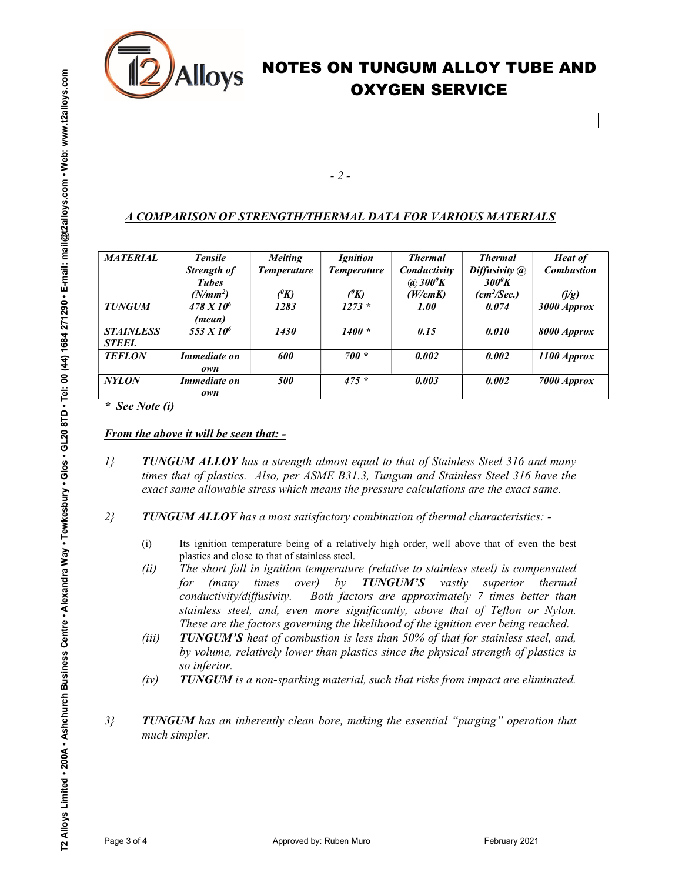

## - 2 -

# A COMPARISON OF STRENGTH/THERMAL DATA FOR VARIOUS MATERIALS

|                               |                  |                                                                                                                                                                                                                                                                                                                            |                                                                                                       | $-2-$                                              |                                  |                                           |                                     |
|-------------------------------|------------------|----------------------------------------------------------------------------------------------------------------------------------------------------------------------------------------------------------------------------------------------------------------------------------------------------------------------------|-------------------------------------------------------------------------------------------------------|----------------------------------------------------|----------------------------------|-------------------------------------------|-------------------------------------|
|                               |                  |                                                                                                                                                                                                                                                                                                                            |                                                                                                       |                                                    |                                  |                                           |                                     |
|                               |                  | A COMPARISON OF STRENGTH/THERMAL DATA FOR VARIOUS MATERIALS                                                                                                                                                                                                                                                                |                                                                                                       |                                                    |                                  |                                           |                                     |
|                               | <b>MATERIAL</b>  | <b>Tensile</b><br>Strength of                                                                                                                                                                                                                                                                                              | <b>Melting</b><br><b>Temperature</b>                                                                  | <b>Ignition</b><br><b>Temperature</b>              | <b>Thermal</b><br>Conductivity   | <b>Thermal</b><br>Diffusivity @           | <b>Heat of</b><br><b>Combustion</b> |
|                               |                  | <b>Tubes</b><br>$(N/mm^2)$                                                                                                                                                                                                                                                                                                 | (X)                                                                                                   |                                                    | $\omega$ 300 $\ell$ K<br>(W/cmK) | $300^{\circ}K$<br>(cm <sup>2</sup> /Sec.) | (j/g)                               |
|                               | <b>TUNGUM</b>    | $\frac{478 X 10^6}{ }$                                                                                                                                                                                                                                                                                                     | 1283                                                                                                  | $\frac{\binom{\theta K}{1273}}{1273}$              | <i><b>1.00</b></i>               | 0.074                                     | 3000 Approx                         |
|                               |                  | (mean)                                                                                                                                                                                                                                                                                                                     |                                                                                                       |                                                    |                                  |                                           |                                     |
|                               | <b>STAINLESS</b> | 553 X 10 <sup>6</sup>                                                                                                                                                                                                                                                                                                      | 1430                                                                                                  | $1400 *$                                           | 0.15                             | 0.010                                     | 8000 Approx                         |
| <b>STEEL</b><br><b>TEFLON</b> |                  | <b>Immediate on</b><br>own                                                                                                                                                                                                                                                                                                 | 600                                                                                                   | $700 *$                                            | 0.002                            | 0.002                                     | 1100 Approx                         |
| <b>NYLON</b>                  |                  | <i>Immediate on</i>                                                                                                                                                                                                                                                                                                        | 500                                                                                                   | $475 *$                                            | 0.003                            | 0.002                                     | 7000 Approx                         |
|                               |                  | own                                                                                                                                                                                                                                                                                                                        |                                                                                                       |                                                    |                                  |                                           |                                     |
| $\iota$                       | * See Note (i)   | <b>From the above it will be seen that: -</b><br><b>TUNGUM ALLOY</b> has a strength almost equal to that of Stainless Steel 316 and many<br>times that of plastics. Also, per ASME B31.3, Tungum and Stainless Steel 316 have the<br>exact same allowable stress which means the pressure calculations are the exact same. |                                                                                                       |                                                    |                                  |                                           |                                     |
|                               |                  | TUNGUM ALLOY has a most satisfactory combination of thermal characteristics: -                                                                                                                                                                                                                                             |                                                                                                       |                                                    |                                  |                                           |                                     |
|                               | (i)              | Its ignition temperature being of a relatively high order, well above that of even the best<br>plastics and close to that of stainless steel.                                                                                                                                                                              |                                                                                                       |                                                    |                                  |                                           |                                     |
|                               | (ii)             | (many<br>for                                                                                                                                                                                                                                                                                                               | The short fall in ignition temperature (relative to stainless steel) is compensated<br>over)<br>times | by                                                 | <b>TUNGUM'S</b><br>vastly        | superior thermal                          |                                     |
|                               |                  | conductivity/diffusivity.                                                                                                                                                                                                                                                                                                  | stainless steel, and, even more significantly, above that of Teflon or Nylon.                         | Both factors are approximately 7 times better than |                                  |                                           |                                     |
| $2\}$                         |                  |                                                                                                                                                                                                                                                                                                                            | These are the factors governing the likelihood of the ignition ever being reached.                    |                                                    |                                  |                                           |                                     |
|                               | (iii)            | by volume, relatively lower than plastics since the physical strength of plastics is                                                                                                                                                                                                                                       | <b>TUNGUM'S</b> heat of combustion is less than 50% of that for stainless steel, and,                 |                                                    |                                  |                                           |                                     |
|                               | (iv)             | so inferior.                                                                                                                                                                                                                                                                                                               | TUNGUM is a non-sparking material, such that risks from impact are eliminated.                        |                                                    |                                  |                                           |                                     |
|                               |                  |                                                                                                                                                                                                                                                                                                                            |                                                                                                       |                                                    |                                  |                                           |                                     |
| 3 <sup>2</sup>                |                  | <b>TUNGUM</b> has an inherently clean bore, making the essential "purging" operation that<br>much simpler.                                                                                                                                                                                                                 |                                                                                                       |                                                    |                                  |                                           |                                     |

- $1$  TUNGUM ALLOY has a strength almost equal to that of Stainless Steel 316 and many times that of plastics. Also, per ASME B31.3, Tungum and Stainless Steel 316 have the exact same allowable stress which means the pressure calculations are the exact same.
- $2$  TUNGUM ALLOY has a most satisfactory combination of thermal characteristics: -
	- (i) Its ignition temperature being of a relatively high order, well above that of even the best plastics and close to that of stainless steel.
	- (ii) The short fall in ignition temperature (relative to stainless steel) is compensated for (many times over) by **TUNGUM'S** vastly superior thermal conductivity/diffusivity. Both factors are approximately 7 times better than stainless steel, and, even more significantly, above that of Teflon or Nylon. These are the factors governing the likelihood of the ignition ever being reached.
	- (iii) TUNGUM'S heat of combustion is less than 50% of that for stainless steel, and, by volume, relatively lower than plastics since the physical strength of plastics is so inferior.
	- $(iv)$  TUNGUM is a non-sparking material, such that risks from impact are eliminated.
- $3$ } TUNGUM has an inherently clean bore, making the essential "purging" operation that much simpler.